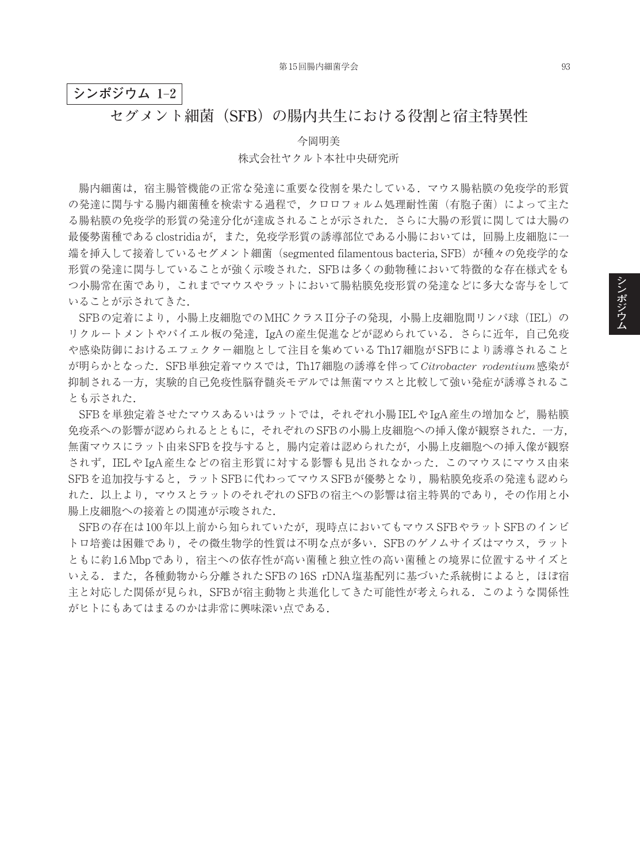## **シンポジウム 1**–**2**

## **セグメント細菌(SFB)の腸内共生における役割と宿主特異性**

今岡明美

## 株式会社ヤクルト本社中央研究所

腸内細菌は,宿主腸管機能の正常な発達に重要な役割を果たしている.マウス腸粘膜の免疫学的形質 の発達に関与する腸内細菌種を検索する過程で、クロロフォルム処理耐性菌(有胞子菌)によって主た る腸粘膜の免疫学的形質の発達分化が達成されることが示された.さらに大腸の形質に関しては大腸の 最優勢菌種であるclostridiaが,また,免疫学形質の誘導部位である小腸においては,回腸上皮細胞に一 端を挿入して接着しているセグメント細菌 (segmented filamentous bacteria, SFB) が種々の免疫学的な 形質の発達に関与していることが強く示唆された.SFBは多くの動物種において特徴的な存在様式をも つ小腸常在菌であり,これまでマウスやラットにおいて腸粘膜免疫形質の発達などに多大な寄与をして いることが示されてきた.

SFBの定着により,小腸上皮細胞でのMHCクラスII分子の発現,小腸上皮細胞間リンパ球(IEL)の リクルートメントやパイエル板の発達,IgAの産生促進などが認められている.さらに近年,自己免疫 や感染防御におけるエフェクター細胞として注目を集めているTh17細胞がSFBにより誘導されること が明らかとなった.SFB単独定着マウスでは,Th17細胞の誘導を伴って*Citrobacter rodentium*感染が 抑制される一方,実験的自己免疫性脳脊髄炎モデルでは無菌マウスと比較して強い発症が誘導されるこ とも示された.

SFBを単独定着させたマウスあるいはラットでは、それぞれ小腸IELやIgA産生の増加など, 腸粘膜 免疫系への影響が認められるとともに,それぞれのSFBの小腸上皮細胞への挿入像が観察された.一方, 無菌マウスにラット由来SFBを投与すると,腸内定着は認められたが,小腸上皮細胞への挿入像が観察 されず,IELや IgA産生などの宿主形質に対する影響も見出されなかった.このマウスにマウス由来 SFBを追加投与すると、ラットSFBに代わってマウスSFBが優勢となり、腸粘膜免疫系の発達も認めら れた. 以上より、マウスとラットのそれぞれのSFBの宿主への影響は宿主特異的であり、その作用と小 腸上皮細胞への接着との関連が示唆された.

SFBの存在は100年以上前から知られていたが,現時点においてもマウスSFBやラットSFBのインビ トロ培養は困難であり,その微生物学的性質は不明な点が多い.SFBのゲノムサイズはマウス,ラット ともに約1.6 Mbpであり,宿主への依存性が高い菌種と独立性の高い菌種との境界に位置するサイズと いえる.また、各種動物から分離されたSFBの16S rDNA塩基配列に基づいた系統樹によると、ほぼ宿 主と対応した関係が見られ,SFBが宿主動物と共進化してきた可能性が考えられる.このような関係性 がヒトにもあてはまるのかは非常に興味深い点である.